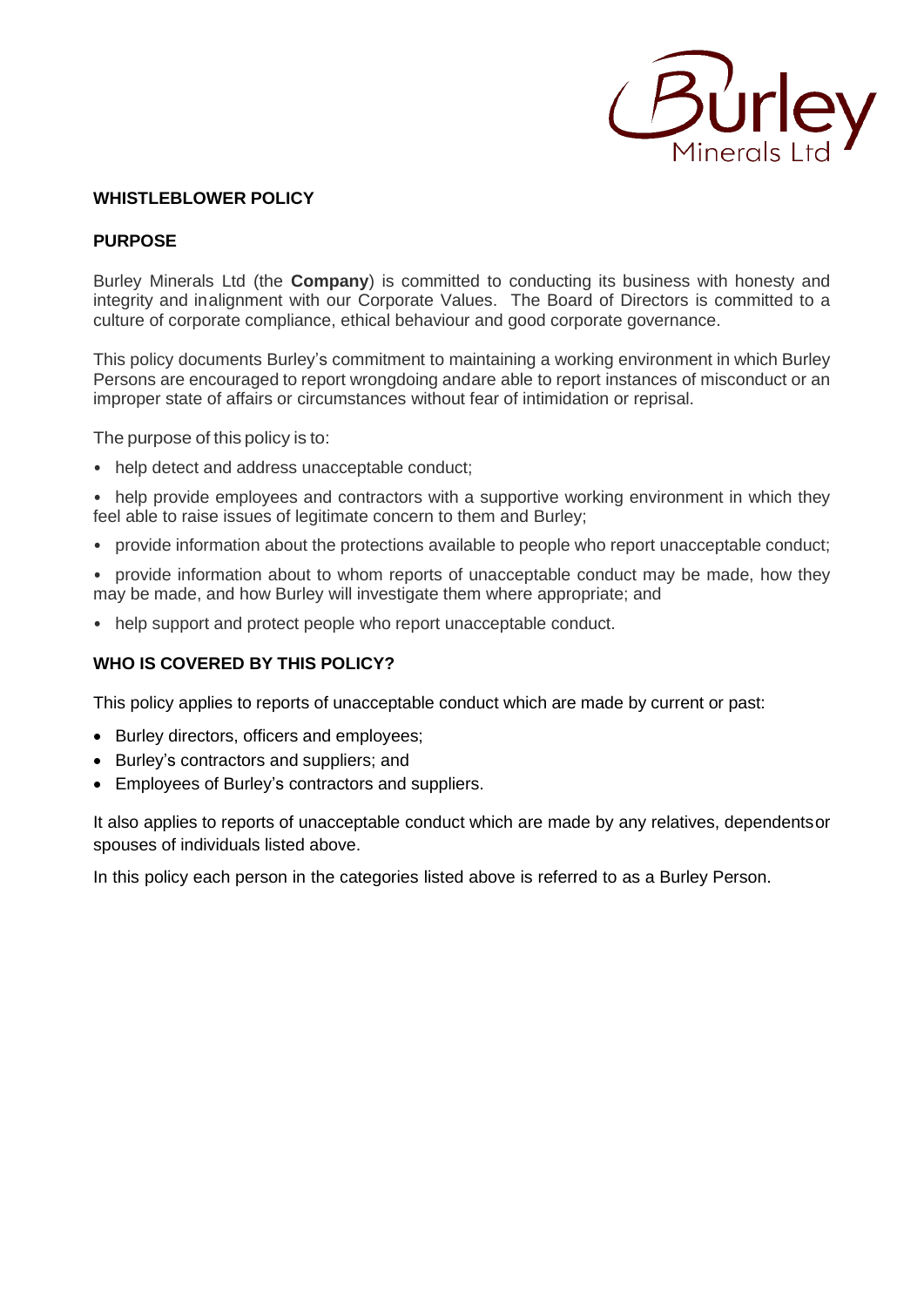

### **WHISTLEBLOWER POLICY**

# **PURPOSE**

Burley Minerals Ltd (the **Company**) is committed to conducting its business with honesty and integrity and inalignment with our Corporate Values. The Board of Directors is committed to a culture of corporate compliance, ethical behaviour and good corporate governance.

This policy documents Burley's commitment to maintaining a working environment in which Burley Persons are encouraged to report wrongdoing andare able to report instances of misconduct or an improper state of affairs or circumstances without fear of intimidation or reprisal.

The purpose of this policy is to:

• help detect and address unacceptable conduct;

• help provide employees and contractors with a supportive working environment in which they feel able to raise issues of legitimate concern to them and Burley;

- provide information about the protections available to people who report unacceptable conduct;
- provide information about to whom reports of unacceptable conduct may be made, how they may be made, and how Burley will investigate them where appropriate; and
- help support and protect people who report unacceptable conduct.

### **WHO IS COVERED BY THIS POLICY?**

This policy applies to reports of unacceptable conduct which are made by current or past:

- Burley directors, officers and employees;
- Burley's contractors and suppliers; and
- Employees of Burley's contractors and suppliers.

It also applies to reports of unacceptable conduct which are made by any relatives, dependentsor spouses of individuals listed above.

In this policy each person in the categories listed above is referred to as a Burley Person.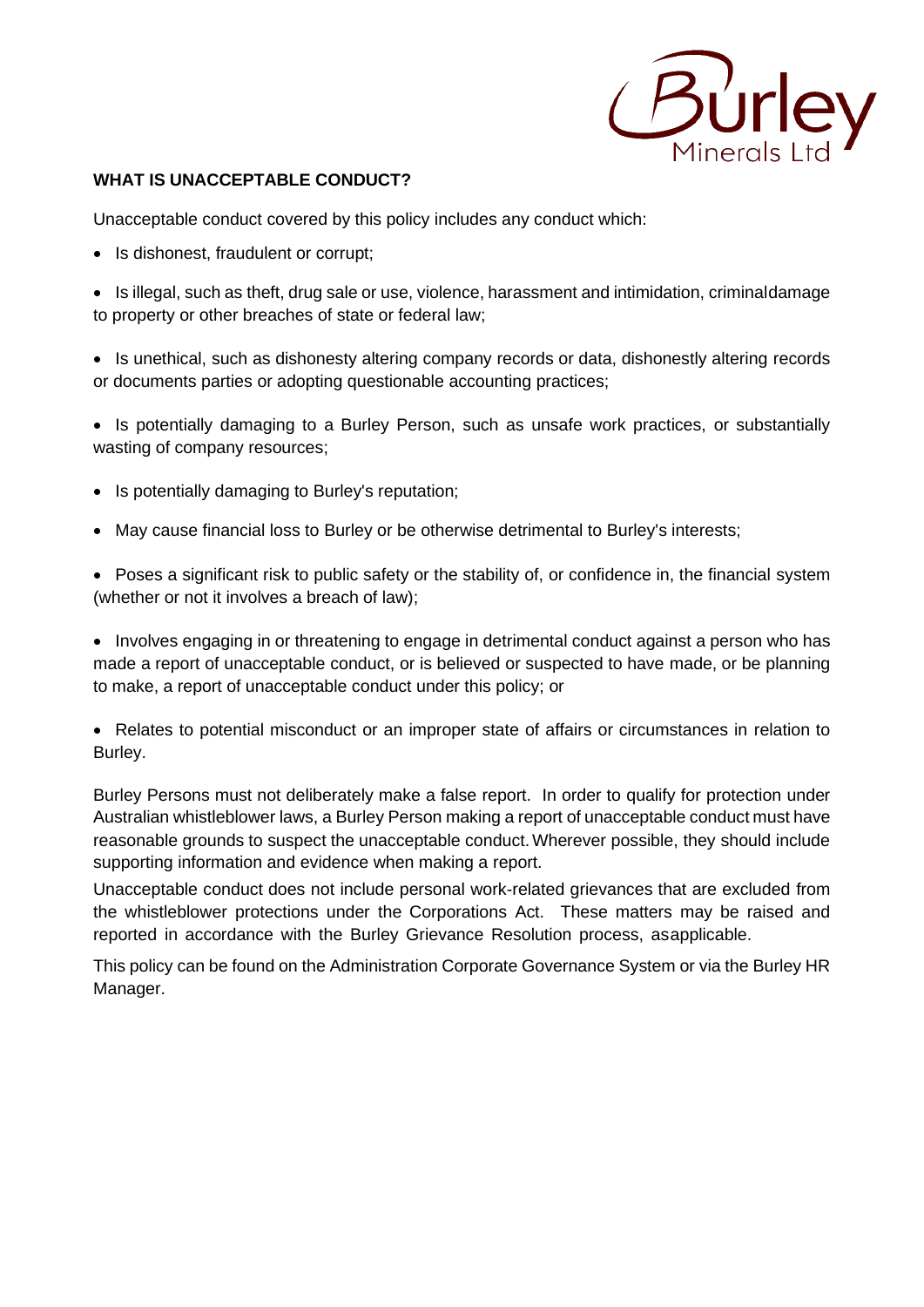

# **WHAT IS UNACCEPTABLE CONDUCT?**

Unacceptable conduct covered by this policy includes any conduct which:

• Is dishonest, fraudulent or corrupt;

• Is illegal, such as theft, drug sale or use, violence, harassment and intimidation, criminaldamage to property or other breaches of state or federal law;

• Is unethical, such as dishonesty altering company records or data, dishonestly altering records or documents parties or adopting questionable accounting practices;

• Is potentially damaging to a Burley Person, such as unsafe work practices, or substantially wasting of company resources;

- Is potentially damaging to Burley's reputation;
- May cause financial loss to Burley or be otherwise detrimental to Burley's interests;

• Poses a significant risk to public safety or the stability of, or confidence in, the financial system (whether or not it involves a breach of law);

• Involves engaging in or threatening to engage in detrimental conduct against a person who has made a report of unacceptable conduct, or is believed or suspected to have made, or be planning to make, a report of unacceptable conduct under this policy; or

• Relates to potential misconduct or an improper state of affairs or circumstances in relation to Burley.

Burley Persons must not deliberately make a false report. In order to qualify for protection under Australian whistleblower laws, a Burley Person making a report of unacceptable conduct must have reasonable grounds to suspect the unacceptable conduct.Wherever possible, they should include supporting information and evidence when making a report.

Unacceptable conduct does not include personal work-related grievances that are excluded from the whistleblower protections under the Corporations Act. These matters may be raised and reported in accordance with the Burley Grievance Resolution process, asapplicable.

This policy can be found on the Administration Corporate Governance System or via the Burley HR Manager.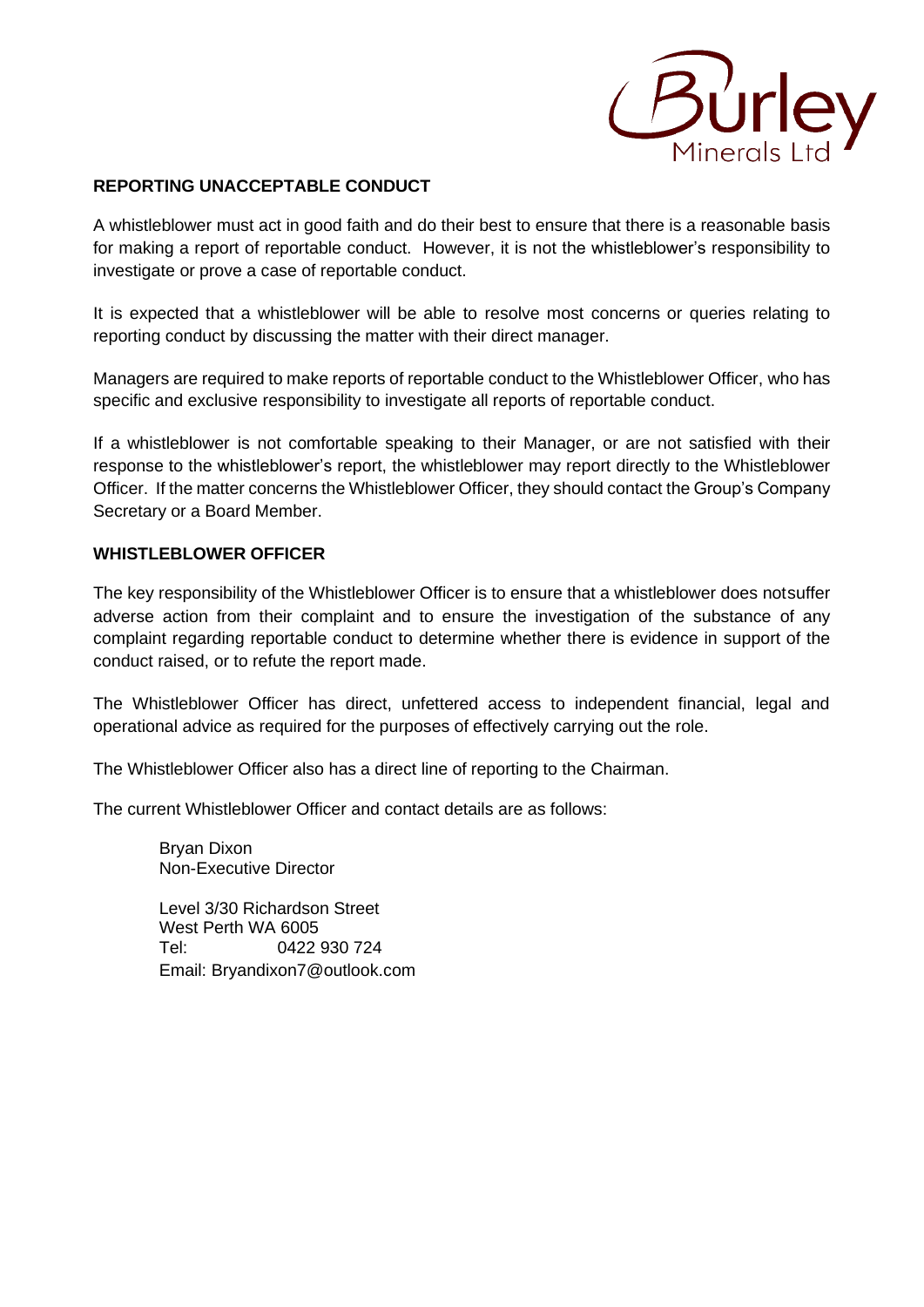

# **REPORTING UNACCEPTABLE CONDUCT**

A whistleblower must act in good faith and do their best to ensure that there is a reasonable basis for making a report of reportable conduct. However, it is not the whistleblower's responsibility to investigate or prove a case of reportable conduct.

It is expected that a whistleblower will be able to resolve most concerns or queries relating to reporting conduct by discussing the matter with their direct manager.

Managers are required to make reports of reportable conduct to the Whistleblower Officer, who has specific and exclusive responsibility to investigate all reports of reportable conduct.

If a whistleblower is not comfortable speaking to their Manager, or are not satisfied with their response to the whistleblower's report, the whistleblower may report directly to the Whistleblower Officer. If the matter concerns the Whistleblower Officer, they should contact the Group's Company Secretary or a Board Member.

### **WHISTLEBLOWER OFFICER**

The key responsibility of the Whistleblower Officer is to ensure that a whistleblower does notsuffer adverse action from their complaint and to ensure the investigation of the substance of any complaint regarding reportable conduct to determine whether there is evidence in support of the conduct raised, or to refute the report made.

The Whistleblower Officer has direct, unfettered access to independent financial, legal and operational advice as required for the purposes of effectively carrying out the role.

The Whistleblower Officer also has a direct line of reporting to the Chairman.

The current Whistleblower Officer and contact details are as follows:

Bryan Dixon Non-Executive Director

Level 3/30 Richardson Street West Perth WA 6005 Tel: 0422 930 724 Email: Bryandixon7@outlook.com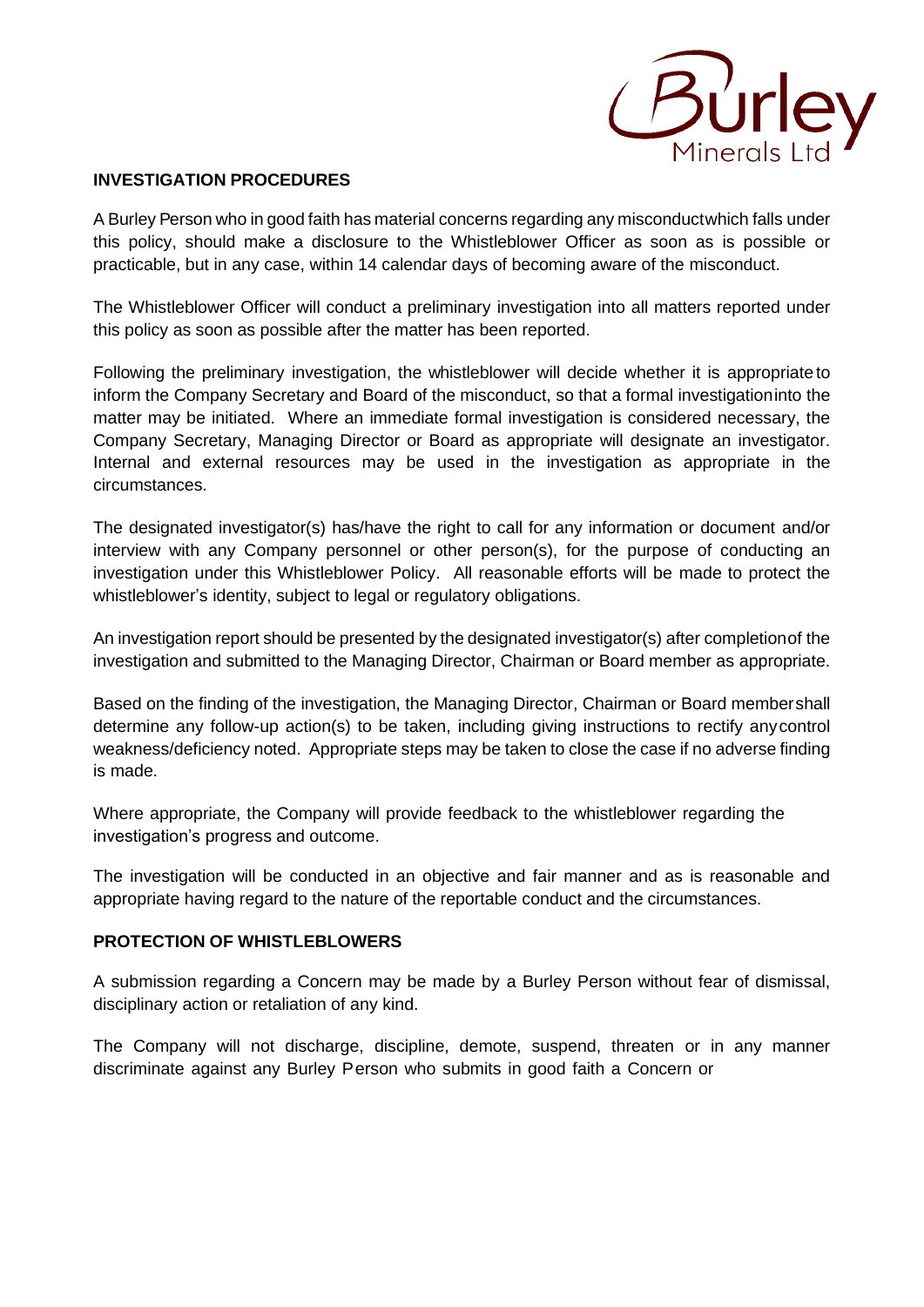

### **INVESTIGATION PROCEDURES**

A Burley Person who in good faith has material concerns regarding any misconductwhich falls under this policy, should make a disclosure to the Whistleblower Officer as soon as is possible or practicable, but in any case, within 14 calendar days of becoming aware of the misconduct.

The Whistleblower Officer will conduct a preliminary investigation into all matters reported under this policy as soon as possible after the matter has been reported.

Following the preliminary investigation, the whistleblower will decide whether it is appropriate to inform the Company Secretary and Board of the misconduct, so that a formal investigationinto the matter may be initiated. Where an immediate formal investigation is considered necessary, the Company Secretary, Managing Director or Board as appropriate will designate an investigator. Internal and external resources may be used in the investigation as appropriate in the circumstances.

The designated investigator(s) has/have the right to call for any information or document and/or interview with any Company personnel or other person(s), for the purpose of conducting an investigation under this Whistleblower Policy. All reasonable efforts will be made to protect the whistleblower's identity, subject to legal or regulatory obligations.

An investigation report should be presented by the designated investigator(s) after completionof the investigation and submitted to the Managing Director, Chairman or Board member as appropriate.

Based on the finding of the investigation, the Managing Director, Chairman or Board membershall determine any follow-up action(s) to be taken, including giving instructions to rectify anycontrol weakness/deficiency noted. Appropriate steps may be taken to close the case if no adverse finding is made.

Where appropriate, the Company will provide feedback to the whistleblower regarding the investigation's progress and outcome.

The investigation will be conducted in an objective and fair manner and as is reasonable and appropriate having regard to the nature of the reportable conduct and the circumstances.

#### **PROTECTION OF WHISTLEBLOWERS**

A submission regarding a Concern may be made by a Burley Person without fear of dismissal, disciplinary action or retaliation of any kind.

The Company will not discharge, discipline, demote, suspend, threaten or in any manner discriminate against any Burley Person who submits in good faith a Concern or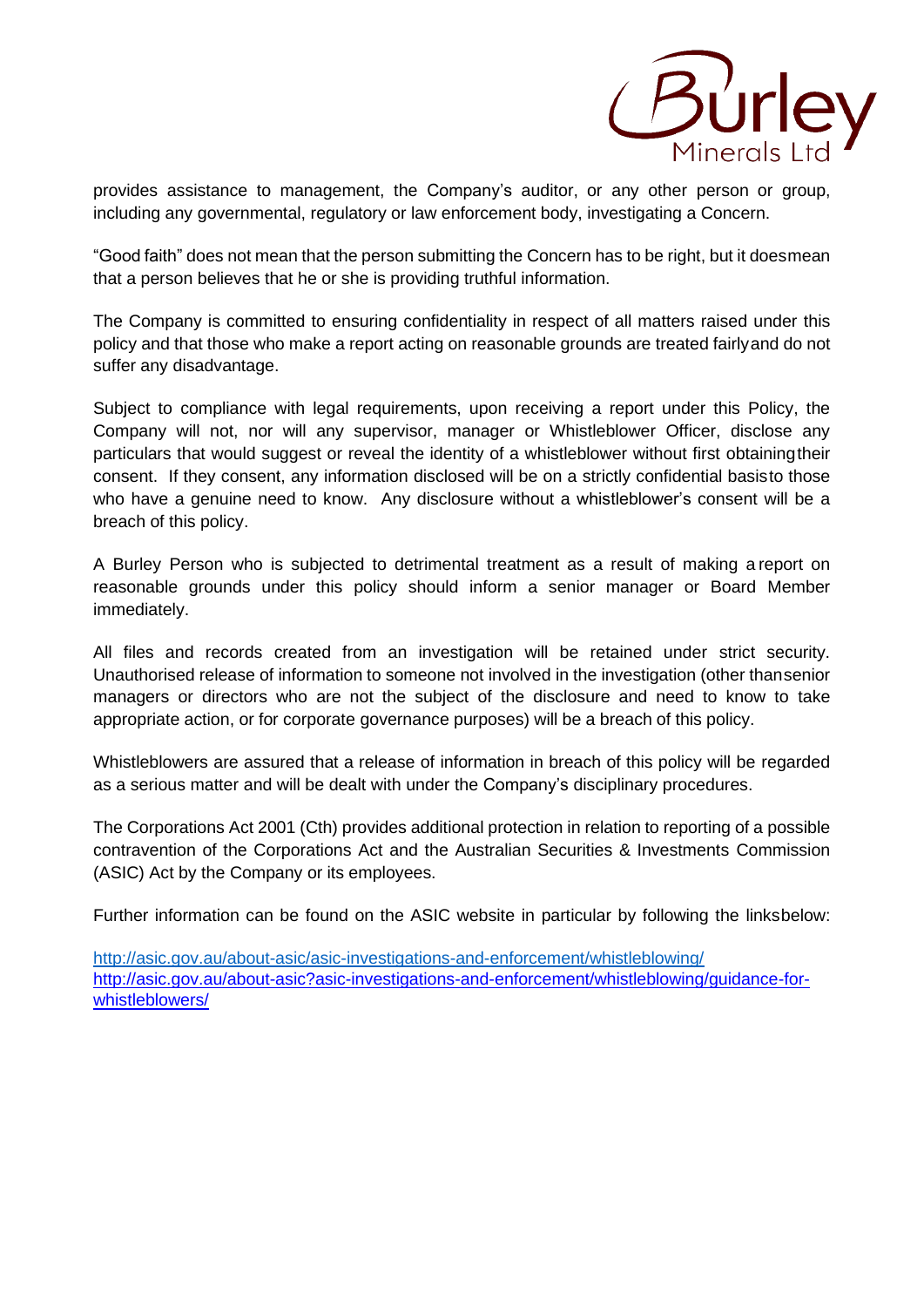

provides assistance to management, the Company's auditor, or any other person or group, including any governmental, regulatory or law enforcement body, investigating a Concern.

"Good faith" does not mean that the person submitting the Concern has to be right, but it doesmean that a person believes that he or she is providing truthful information.

The Company is committed to ensuring confidentiality in respect of all matters raised under this policy and that those who make a report acting on reasonable grounds are treated fairlyand do not suffer any disadvantage.

Subject to compliance with legal requirements, upon receiving a report under this Policy, the Company will not, nor will any supervisor, manager or Whistleblower Officer, disclose any particulars that would suggest or reveal the identity of a whistleblower without first obtainingtheir consent. If they consent, any information disclosed will be on a strictly confidential basisto those who have a genuine need to know. Any disclosure without a whistleblower's consent will be a breach of this policy.

A Burley Person who is subjected to detrimental treatment as a result of making a report on reasonable grounds under this policy should inform a senior manager or Board Member immediately.

All files and records created from an investigation will be retained under strict security. Unauthorised release of information to someone not involved in the investigation (other thansenior managers or directors who are not the subject of the disclosure and need to know to take appropriate action, or for corporate governance purposes) will be a breach of this policy.

Whistleblowers are assured that a release of information in breach of this policy will be regarded as a serious matter and will be dealt with under the Company's disciplinary procedures.

The Corporations Act 2001 (Cth) provides additional protection in relation to reporting of a possible contravention of the Corporations Act and the Australian Securities & Investments Commission (ASIC) Act by the Company or its employees.

Further information can be found on the ASIC website in particular by following the linksbelow:

<http://asic.gov.au/about-asic/asic-investigations-and-enforcement/whistleblowing/> http://asic.gov.au/about-asic?asic-investigations-and-enforcement/whistleblowing/guidance-forwhistleblowers/